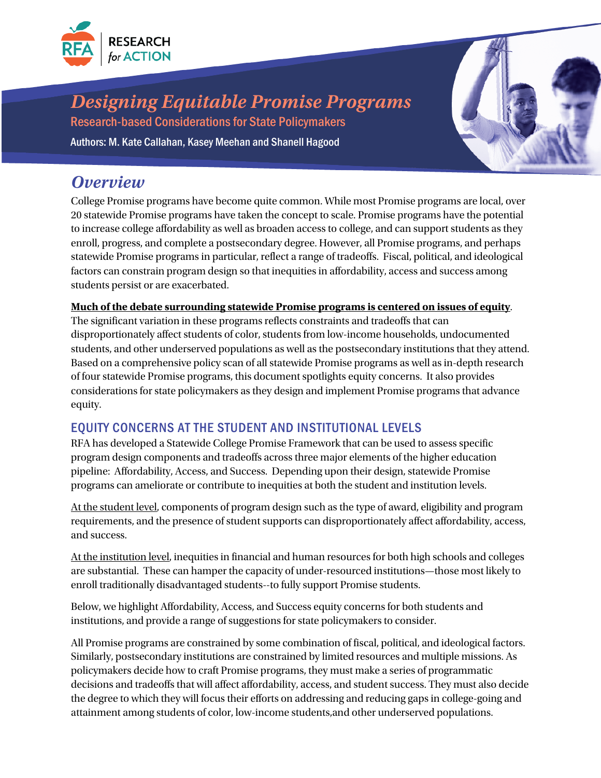

# *Designing Equitable Promise Programs*

Research-based Considerations for State Policymakers Authors: M. Kate Callahan, Kasey Meehan and Shanell Hagood

### *Overview*

College Promise programs have become quite common. While most Promise programs are local, over 20 statewide Promise programs have taken the concept to scale. Promise programs have the potential to increase college affordability as well as broaden access to college, and can support students as they enroll, progress, and complete a postsecondary degree. However, all Promise programs, and perhaps statewide Promise programs in particular, reflect a range of tradeoffs. Fiscal, political, and ideological factors can constrain program design so that inequities in affordability, access and success among students persist or are exacerbated.

#### **Much of the debate surrounding statewide Promise programs is centered on issues of equity**.

The significant variation in these programs reflects constraints and tradeoffs that can disproportionately affect students of color, students from low-income households, undocumented students, and other underserved populations as well as the postsecondary institutions that they attend. Based on a comprehensive policy scan of all statewide Promise programs as well as in-depth research of four statewide Promise programs, this document spotlights equity concerns. It also provides considerations for state policymakers as they design and implement Promise programs that advance equity.

### EQUITY CONCERNS AT THE STUDENT AND INSTITUTIONAL LEVELS

RFA has developed a Statewide College Promise Framework that can be used to assess specific program design components and tradeoffs across three major elements of the higher education pipeline: Affordability, Access, and Success. Depending upon their design, statewide Promise programs can ameliorate or contribute to inequities at both the student and institution levels.

At the student level, components of program design such as the type of award, eligibility and program requirements, and the presence of student supports can disproportionately affect affordability, access, and success.

At the institution level, inequities in financial and human resources for both high schools and colleges are substantial. These can hamper the capacity of under-resourced institutions—those most likely to enroll traditionally disadvantaged students--to fully support Promise students.

Below, we highlight Affordability, Access, and Success equity concerns for both students and institutions, and provide a range of suggestions for state policymakers to consider.

All Promise programs are constrained by some combination of fiscal, political, and ideological factors. Similarly, postsecondary institutions are constrained by limited resources and multiple missions. As policymakers decide how to craft Promise programs, they must make a series of programmatic decisions and tradeoffs that will affect affordability, access, and student success. They must also decide the degree to which they will focus their efforts on addressing and reducing gaps in college-going and attainment among students of color, low-income students,and other underserved populations.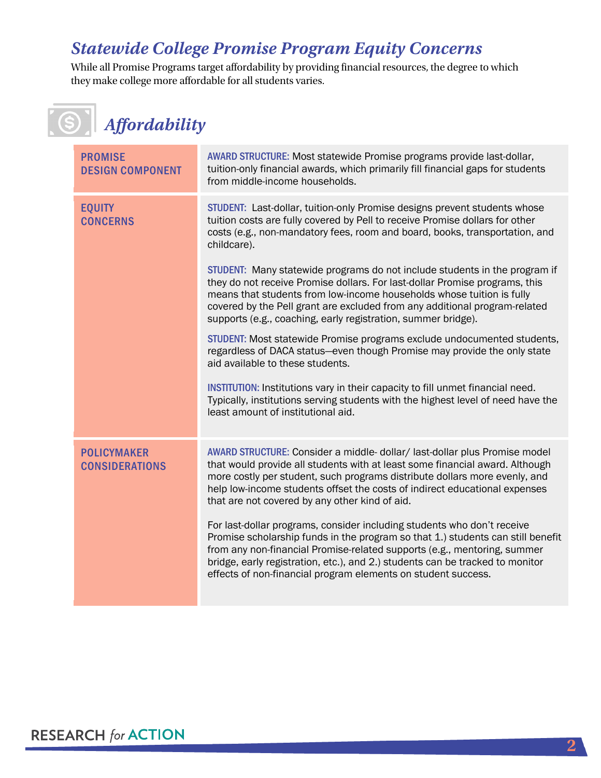## *Statewide College Promise Program Equity Concerns*

While all Promise Programs target affordability by providing financial resources, the degree to which they make college more affordable for all students varies.

 *Affordability*

| <b>PROMISE</b><br><b>DESIGN COMPONENT</b>   | AWARD STRUCTURE: Most statewide Promise programs provide last-dollar,<br>tuition-only financial awards, which primarily fill financial gaps for students<br>from middle-income households.                                                                                                                                                                                                                                                                                                                                                                                                                                                                                                                                                                                                                                                                                                                                                                                                                                                          |
|---------------------------------------------|-----------------------------------------------------------------------------------------------------------------------------------------------------------------------------------------------------------------------------------------------------------------------------------------------------------------------------------------------------------------------------------------------------------------------------------------------------------------------------------------------------------------------------------------------------------------------------------------------------------------------------------------------------------------------------------------------------------------------------------------------------------------------------------------------------------------------------------------------------------------------------------------------------------------------------------------------------------------------------------------------------------------------------------------------------|
| <b>EQUITY</b><br><b>CONCERNS</b>            | STUDENT: Last-dollar, tuition-only Promise designs prevent students whose<br>tuition costs are fully covered by Pell to receive Promise dollars for other<br>costs (e.g., non-mandatory fees, room and board, books, transportation, and<br>childcare).<br>STUDENT: Many statewide programs do not include students in the program if<br>they do not receive Promise dollars. For last-dollar Promise programs, this<br>means that students from low-income households whose tuition is fully<br>covered by the Pell grant are excluded from any additional program-related<br>supports (e.g., coaching, early registration, summer bridge).<br>STUDENT: Most statewide Promise programs exclude undocumented students,<br>regardless of DACA status-even though Promise may provide the only state<br>aid available to these students.<br>INSTITUTION: Institutions vary in their capacity to fill unmet financial need.<br>Typically, institutions serving students with the highest level of need have the<br>least amount of institutional aid. |
| <b>POLICYMAKER</b><br><b>CONSIDERATIONS</b> | AWARD STRUCTURE: Consider a middle- dollar/ last-dollar plus Promise model<br>that would provide all students with at least some financial award. Although<br>more costly per student, such programs distribute dollars more evenly, and<br>help low-income students offset the costs of indirect educational expenses<br>that are not covered by any other kind of aid.<br>For last-dollar programs, consider including students who don't receive<br>Promise scholarship funds in the program so that 1.) students can still benefit<br>from any non-financial Promise-related supports (e.g., mentoring, summer<br>bridge, early registration, etc.), and 2.) students can be tracked to monitor<br>effects of non-financial program elements on student success.                                                                                                                                                                                                                                                                                |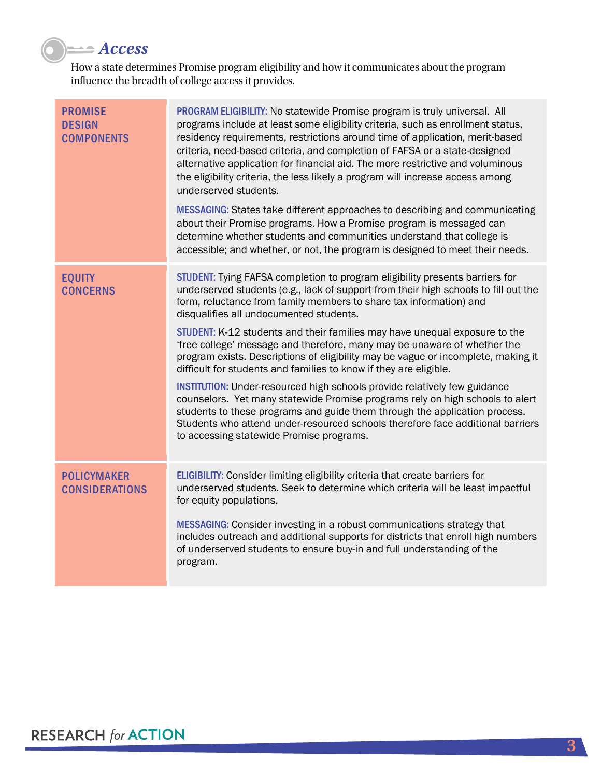

How a state determines Promise program eligibility and how it communicates about the program influence the breadth of college access it provides.

| PROGRAM ELIGIBILITY: No statewide Promise program is truly universal. All<br>programs include at least some eligibility criteria, such as enrollment status,<br>residency requirements, restrictions around time of application, merit-based<br>criteria, need-based criteria, and completion of FAFSA or a state-designed<br>alternative application for financial aid. The more restrictive and voluminous<br>the eligibility criteria, the less likely a program will increase access among<br>underserved students.<br>MESSAGING: States take different approaches to describing and communicating<br>about their Promise programs. How a Promise program is messaged can<br>determine whether students and communities understand that college is<br>accessible; and whether, or not, the program is designed to meet their needs. |
|-----------------------------------------------------------------------------------------------------------------------------------------------------------------------------------------------------------------------------------------------------------------------------------------------------------------------------------------------------------------------------------------------------------------------------------------------------------------------------------------------------------------------------------------------------------------------------------------------------------------------------------------------------------------------------------------------------------------------------------------------------------------------------------------------------------------------------------------|
| STUDENT: Tying FAFSA completion to program eligibility presents barriers for<br>underserved students (e.g., lack of support from their high schools to fill out the<br>form, reluctance from family members to share tax information) and<br>disqualifies all undocumented students.<br>STUDENT: K-12 students and their families may have unequal exposure to the<br>'free college' message and therefore, many may be unaware of whether the<br>program exists. Descriptions of eligibility may be vague or incomplete, making it<br>difficult for students and families to know if they are eligible.<br><b>INSTITUTION:</b> Under-resourced high schools provide relatively few guidance                                                                                                                                            |
| counselors. Yet many statewide Promise programs rely on high schools to alert<br>students to these programs and guide them through the application process.<br>Students who attend under-resourced schools therefore face additional barriers<br>to accessing statewide Promise programs.                                                                                                                                                                                                                                                                                                                                                                                                                                                                                                                                               |
| ELIGIBILITY: Consider limiting eligibility criteria that create barriers for<br>underserved students. Seek to determine which criteria will be least impactful<br>for equity populations.<br>MESSAGING: Consider investing in a robust communications strategy that<br>includes outreach and additional supports for districts that enroll high numbers<br>of underserved students to ensure buy-in and full understanding of the<br>program.                                                                                                                                                                                                                                                                                                                                                                                           |
|                                                                                                                                                                                                                                                                                                                                                                                                                                                                                                                                                                                                                                                                                                                                                                                                                                         |